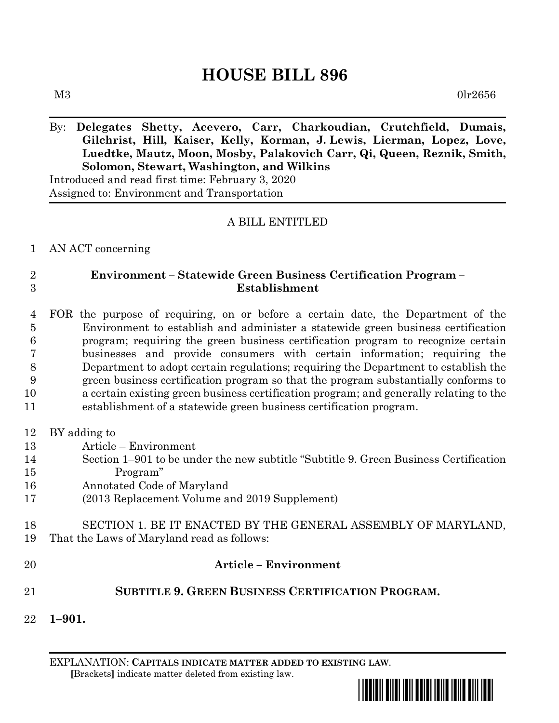## **HOUSE BILL 896**

 $M3$  0lr2656

## By: **Delegates Shetty, Acevero, Carr, Charkoudian, Crutchfield, Dumais, Gilchrist, Hill, Kaiser, Kelly, Korman, J. Lewis, Lierman, Lopez, Love, Luedtke, Mautz, Moon, Mosby, Palakovich Carr, Qi, Queen, Reznik, Smith, Solomon, Stewart, Washington, and Wilkins**

Introduced and read first time: February 3, 2020 Assigned to: Environment and Transportation

## A BILL ENTITLED

AN ACT concerning

## **Environment – Statewide Green Business Certification Program – Establishment**

- FOR the purpose of requiring, on or before a certain date, the Department of the Environment to establish and administer a statewide green business certification program; requiring the green business certification program to recognize certain businesses and provide consumers with certain information; requiring the Department to adopt certain regulations; requiring the Department to establish the green business certification program so that the program substantially conforms to a certain existing green business certification program; and generally relating to the establishment of a statewide green business certification program.
- BY adding to
- Article Environment
- Section 1–901 to be under the new subtitle "Subtitle 9. Green Business Certification Program"
- Annotated Code of Maryland
- (2013 Replacement Volume and 2019 Supplement)
- SECTION 1. BE IT ENACTED BY THE GENERAL ASSEMBLY OF MARYLAND, That the Laws of Maryland read as follows:
- **Article – Environment SUBTITLE 9. GREEN BUSINESS CERTIFICATION PROGRAM. 1–901.**

EXPLANATION: **CAPITALS INDICATE MATTER ADDED TO EXISTING LAW**.  **[**Brackets**]** indicate matter deleted from existing law.